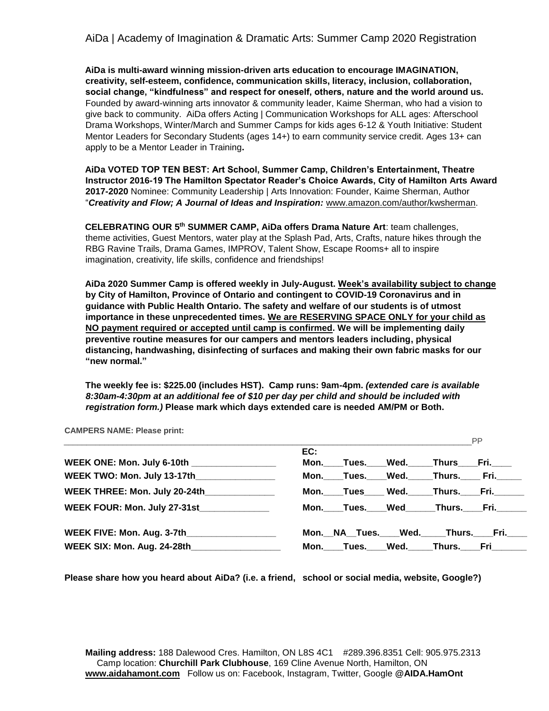**AiDa is multi-award winning mission-driven arts education to encourage IMAGINATION, creativity, self-esteem, confidence, communication skills, literacy, inclusion, collaboration, social change, "kindfulness" and respect for oneself, others, nature and the world around us.** Founded by award-winning arts innovator & community leader, Kaime Sherman, who had a vision to give back to community. AiDa offers Acting | Communication Workshops for ALL ages: Afterschool Drama Workshops, Winter/March and Summer Camps for kids ages 6-12 & Youth Initiative: Student Mentor Leaders for Secondary Students (ages 14+) to earn community service credit. Ages 13+ can apply to be a Mentor Leader in Training**.** 

**AiDa VOTED TOP TEN BEST: Art School, Summer Camp, Children's Entertainment, Theatre Instructor 2016-19 The Hamilton Spectator Reader's Choice Awards, City of Hamilton Arts Award 2017-2020** Nominee: Community Leadership | Arts Innovation: Founder, Kaime Sherman, Author "*Creativity and Flow; A Journal of Ideas and Inspiration:* [www.amazon.com/author/kwsherman.](http://www.amazon.com/author/kwsherman) 

**CELEBRATING OUR 5th SUMMER CAMP, AiDa offers Drama Nature Art**: team challenges, theme activities, Guest Mentors, water play at the Splash Pad, Arts, Crafts, nature hikes through the RBG Ravine Trails, Drama Games, IMPROV, Talent Show, Escape Rooms+ all to inspire imagination, creativity, life skills, confidence and friendships!

**AiDa 2020 Summer Camp is offered weekly in July-August. Week's availability subject to change by City of Hamilton, Province of Ontario and contingent to COVID-19 Coronavirus and in guidance with Public Health Ontario. The safety and welfare of our students is of utmost importance in these unprecedented times. We are RESERVING SPACE ONLY for your child as NO payment required or accepted until camp is confirmed. We will be implementing daily preventive routine measures for our campers and mentors leaders including, physical distancing, handwashing, disinfecting of surfaces and making their own fabric masks for our "new normal."**

**The weekly fee is: \$225.00 (includes HST). Camp runs: 9am-4pm.** *(extended care is available 8:30am-4:30pm at an additional fee of \$10 per day per child and should be included with registration form.)* **Please mark which days extended care is needed AM/PM or Both.**

**CAMPERS NAME: Please print:**

|                                               |     |                                |  | <b>PP</b> |
|-----------------------------------------------|-----|--------------------------------|--|-----------|
|                                               | EC: |                                |  |           |
| WEEK ONE: Mon. July 6-10th _________________  |     | Mon. Tues. Wed. Thurs Fri.     |  |           |
| WEEK TWO: Mon. July 13-17th________________   |     | Mon. Tues. Wed. Thurs. Fri.    |  |           |
| WEEK THREE: Mon. July 20-24th                 |     | Mon. Tues Wed. Thurs. Fri.     |  |           |
| WEEK FOUR: Mon. July 27-31st______________    |     | Mon. Tues. Wed Thurs. Fri.     |  |           |
| WEEK FIVE: Mon. Aug. 3-7th___________________ |     | Mon. NA Tues. Wed. Thurs. Fri. |  |           |
| WEEK SIX: Mon. Aug. 24-28th                   |     | Mon. Tues. Wed. Thurs. Fri     |  |           |

**Please share how you heard about AiDa? (i.e. a friend, school or social media, website, Google?)**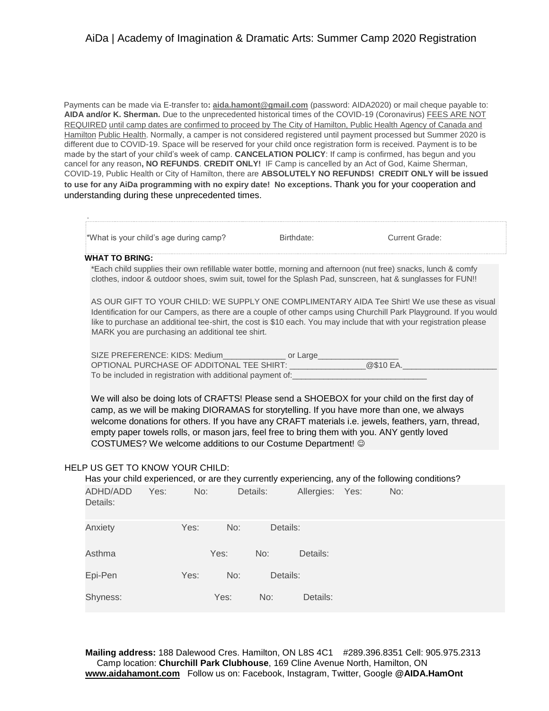Payments can be made via E-transfer to**: aida.hamont@gmail.com** (password: AIDA2020) or mail cheque payable to: **AIDA and/or K. Sherman.** Due to the unprecedented historical times of the COVID-19 (Coronavirus) FEES ARE NOT REQUIRED until camp dates are confirmed to proceed by The City of Hamilton, Public Health Agency of Canada and Hamilton Public Health. Normally, a camper is not considered registered until payment processed but Summer 2020 is different due to COVID-19. Space will be reserved for your child once registration form is received. Payment is to be made by the start of your child's week of camp. **CANCELATION POLICY**: If camp is confirmed, has begun and you cancel for any reason**, NO REFUNDS**. **CREDIT ONLY!** IF Camp is cancelled by an Act of God, Kaime Sherman, COVID-19, Public Health or City of Hamilton, there are **ABSOLUTELY NO REFUNDS! CREDIT ONLY will be issued to use for any AiDa programming with no expiry date! No exceptions.** Thank you for your cooperation and understanding during these unprecedented times.

| *What is your child's age during camp?<br><b>Current Grade:</b><br>Birthdate:<br><b>WHAT TO BRING:</b><br>*Each child supplies their own refillable water bottle, morning and afternoon (nut free) snacks, lunch & comfy<br>clothes, indoor & outdoor shoes, swim suit, towel for the Splash Pad, sunscreen, hat & sunglasses for FUN!!<br>AS OUR GIFT TO YOUR CHILD: WE SUPPLY ONE COMPLIMENTARY AIDA Tee Shirt! We use these as visual<br>Identification for our Campers, as there are a couple of other camps using Churchill Park Playground. If you would<br>like to purchase an additional tee-shirt, the cost is \$10 each. You may include that with your registration please<br>MARK you are purchasing an additional tee shirt.<br>SIZE PREFERENCE: KIDS: Medium__________________ or Large_________<br>OPTIONAL PURCHASE OF ADDITONAL TEE SHIRT: ____________________@\$10 EA.<br>We will also be doing lots of CRAFTS! Please send a SHOEBOX for your child on the first day of<br>camp, as we will be making DIORAMAS for storytelling. If you have more than one, we always<br>welcome donations for others. If you have any CRAFT materials i.e. jewels, feathers, yarn, thread,<br>empty paper towels rolls, or mason jars, feel free to bring them with you. ANY gently loved<br>COSTUMES? We welcome additions to our Costume Department! ©<br>HELP US GET TO KNOW YOUR CHILD:<br>Has your child experienced, or are they currently experiencing, any of the following conditions?<br>ADHD/ADD<br>Yes:<br>Details:<br>No:<br>Allergies: Yes:<br>No:<br>Details:<br>Yes:<br>No:<br>Details:<br>Anxiety<br>Yes:<br>Asthma<br>No:<br>Details:<br>Epi-Pen<br>Yes:<br>No:<br>Details:<br>Shyness:<br>Yes:<br>No:<br>Details: |  |  |  |  |  |
|-------------------------------------------------------------------------------------------------------------------------------------------------------------------------------------------------------------------------------------------------------------------------------------------------------------------------------------------------------------------------------------------------------------------------------------------------------------------------------------------------------------------------------------------------------------------------------------------------------------------------------------------------------------------------------------------------------------------------------------------------------------------------------------------------------------------------------------------------------------------------------------------------------------------------------------------------------------------------------------------------------------------------------------------------------------------------------------------------------------------------------------------------------------------------------------------------------------------------------------------------------------------------------------------------------------------------------------------------------------------------------------------------------------------------------------------------------------------------------------------------------------------------------------------------------------------------------------------------------------------------------------------------------------------------------------------------------------------------------------------|--|--|--|--|--|
|                                                                                                                                                                                                                                                                                                                                                                                                                                                                                                                                                                                                                                                                                                                                                                                                                                                                                                                                                                                                                                                                                                                                                                                                                                                                                                                                                                                                                                                                                                                                                                                                                                                                                                                                           |  |  |  |  |  |
|                                                                                                                                                                                                                                                                                                                                                                                                                                                                                                                                                                                                                                                                                                                                                                                                                                                                                                                                                                                                                                                                                                                                                                                                                                                                                                                                                                                                                                                                                                                                                                                                                                                                                                                                           |  |  |  |  |  |
|                                                                                                                                                                                                                                                                                                                                                                                                                                                                                                                                                                                                                                                                                                                                                                                                                                                                                                                                                                                                                                                                                                                                                                                                                                                                                                                                                                                                                                                                                                                                                                                                                                                                                                                                           |  |  |  |  |  |
|                                                                                                                                                                                                                                                                                                                                                                                                                                                                                                                                                                                                                                                                                                                                                                                                                                                                                                                                                                                                                                                                                                                                                                                                                                                                                                                                                                                                                                                                                                                                                                                                                                                                                                                                           |  |  |  |  |  |
|                                                                                                                                                                                                                                                                                                                                                                                                                                                                                                                                                                                                                                                                                                                                                                                                                                                                                                                                                                                                                                                                                                                                                                                                                                                                                                                                                                                                                                                                                                                                                                                                                                                                                                                                           |  |  |  |  |  |
|                                                                                                                                                                                                                                                                                                                                                                                                                                                                                                                                                                                                                                                                                                                                                                                                                                                                                                                                                                                                                                                                                                                                                                                                                                                                                                                                                                                                                                                                                                                                                                                                                                                                                                                                           |  |  |  |  |  |
|                                                                                                                                                                                                                                                                                                                                                                                                                                                                                                                                                                                                                                                                                                                                                                                                                                                                                                                                                                                                                                                                                                                                                                                                                                                                                                                                                                                                                                                                                                                                                                                                                                                                                                                                           |  |  |  |  |  |
|                                                                                                                                                                                                                                                                                                                                                                                                                                                                                                                                                                                                                                                                                                                                                                                                                                                                                                                                                                                                                                                                                                                                                                                                                                                                                                                                                                                                                                                                                                                                                                                                                                                                                                                                           |  |  |  |  |  |
|                                                                                                                                                                                                                                                                                                                                                                                                                                                                                                                                                                                                                                                                                                                                                                                                                                                                                                                                                                                                                                                                                                                                                                                                                                                                                                                                                                                                                                                                                                                                                                                                                                                                                                                                           |  |  |  |  |  |
|                                                                                                                                                                                                                                                                                                                                                                                                                                                                                                                                                                                                                                                                                                                                                                                                                                                                                                                                                                                                                                                                                                                                                                                                                                                                                                                                                                                                                                                                                                                                                                                                                                                                                                                                           |  |  |  |  |  |
|                                                                                                                                                                                                                                                                                                                                                                                                                                                                                                                                                                                                                                                                                                                                                                                                                                                                                                                                                                                                                                                                                                                                                                                                                                                                                                                                                                                                                                                                                                                                                                                                                                                                                                                                           |  |  |  |  |  |
|                                                                                                                                                                                                                                                                                                                                                                                                                                                                                                                                                                                                                                                                                                                                                                                                                                                                                                                                                                                                                                                                                                                                                                                                                                                                                                                                                                                                                                                                                                                                                                                                                                                                                                                                           |  |  |  |  |  |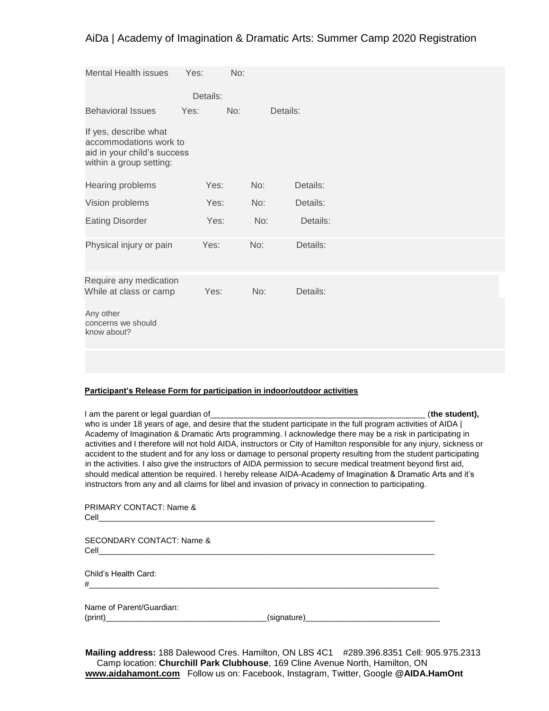| <b>Mental Health issues</b>                                                                               | Yes:     | No: |          |  |  |
|-----------------------------------------------------------------------------------------------------------|----------|-----|----------|--|--|
|                                                                                                           | Details: |     |          |  |  |
| <b>Behavioral Issues</b>                                                                                  | Yes:     | No: | Details: |  |  |
| If yes, describe what<br>accommodations work to<br>aid in your child's success<br>within a group setting: |          |     |          |  |  |
| Hearing problems                                                                                          | Yes:     | No: | Details: |  |  |
| Vision problems                                                                                           | Yes:     | No: | Details: |  |  |
| <b>Eating Disorder</b>                                                                                    | Yes:     | No: | Details: |  |  |
| Physical injury or pain                                                                                   | Yes:     | No: | Details: |  |  |
| Require any medication<br>While at class or camp                                                          | Yes:     | No: | Details: |  |  |
| Any other<br>concerns we should<br>know about?                                                            |          |     |          |  |  |
|                                                                                                           |          |     |          |  |  |

### **Participant's Release Form for participation in indoor/outdoor activities**

| I am the parent or legal guardian of<br>who is under 18 years of age, and desire that the student participate in the full program activities of AIDA (<br>Academy of Imagination & Dramatic Arts programming. I acknowledge there may be a risk in participating in<br>activities and I therefore will not hold AIDA, instructors or City of Hamilton responsible for any injury, sickness or<br>accident to the student and for any loss or damage to personal property resulting from the student participating<br>in the activities. I also give the instructors of AIDA permission to secure medical treatment beyond first aid, | (the student). |
|--------------------------------------------------------------------------------------------------------------------------------------------------------------------------------------------------------------------------------------------------------------------------------------------------------------------------------------------------------------------------------------------------------------------------------------------------------------------------------------------------------------------------------------------------------------------------------------------------------------------------------------|----------------|
| should medical attention be required. I hereby release AIDA-Academy of Imagination & Dramatic Arts and it's<br>instructors from any and all claims for libel and invasion of privacy in connection to participating.                                                                                                                                                                                                                                                                                                                                                                                                                 |                |
| <b>PRIMARY CONTACT: Name &amp;</b><br>Cell                                                                                                                                                                                                                                                                                                                                                                                                                                                                                                                                                                                           |                |
|                                                                                                                                                                                                                                                                                                                                                                                                                                                                                                                                                                                                                                      |                |

SECONDARY CONTACT: Name & Cell\_\_\_\_\_\_\_\_\_\_\_\_\_\_\_\_\_\_\_\_\_\_\_\_\_\_\_\_\_\_\_\_\_\_\_\_\_\_\_\_\_\_\_\_\_\_\_\_\_\_\_\_\_\_\_\_\_\_\_\_\_\_\_\_\_\_\_\_\_\_\_\_\_\_\_

Child's Health Card: #\_\_\_\_\_\_\_\_\_\_\_\_\_\_\_\_\_\_\_\_\_\_\_\_\_\_\_\_\_\_\_\_\_\_\_\_\_\_\_\_\_\_\_\_\_\_\_\_\_\_\_\_\_\_\_\_\_\_\_\_\_\_\_\_\_\_\_\_\_\_\_\_\_\_\_\_\_\_

Name of Parent/Guardian: (print)\_\_\_\_\_\_\_\_\_\_\_\_\_\_\_\_\_\_\_\_\_\_\_\_\_\_\_\_\_\_\_\_\_\_\_\_(signature)\_\_\_\_\_\_\_\_\_\_\_\_\_\_\_\_\_\_\_\_\_\_\_\_\_\_\_\_\_\_